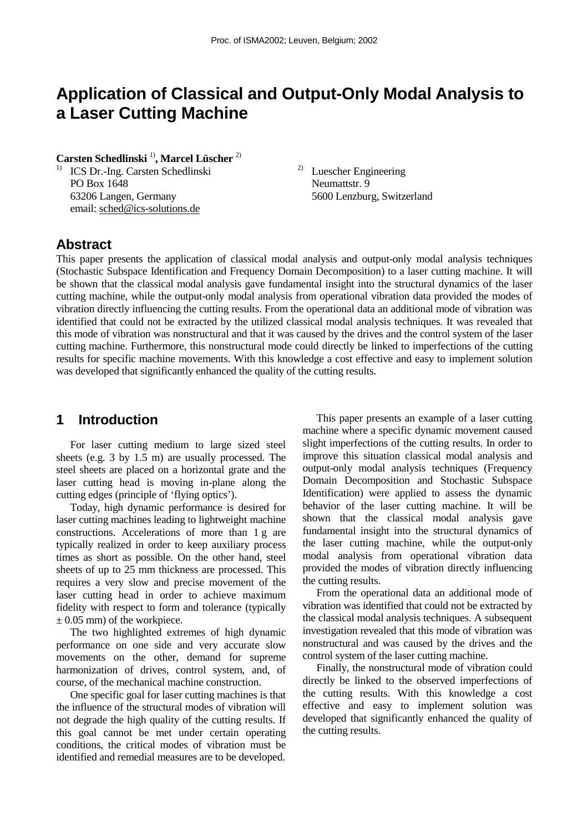# **Application of Classical and Output-Only Modal Analysis to a Laser Cutting Machine**

**Carsten Schedlinski** 1)**, Marcel Lüscher** 2)

1) ICS Dr.-Ing. Carsten Schedlinski PO Box 1648 63206 Langen, Germany email: sched@ics-solutions.de

2) Luescher Engineering Neumattstr. 9 5600 Lenzburg, Switzerland

## **Abstract**

This paper presents the application of classical modal analysis and output-only modal analysis techniques (Stochastic Subspace Identification and Frequency Domain Decomposition) to a laser cutting machine. It will be shown that the classical modal analysis gave fundamental insight into the structural dynamics of the laser cutting machine, while the output-only modal analysis from operational vibration data provided the modes of vibration directly influencing the cutting results. From the operational data an additional mode of vibration was identified that could not be extracted by the utilized classical modal analysis techniques. It was revealed that this mode of vibration was nonstructural and that it was caused by the drives and the control system of the laser cutting machine. Furthermore, this nonstructural mode could directly be linked to imperfections of the cutting results for specific machine movements. With this knowledge a cost effective and easy to implement solution was developed that significantly enhanced the quality of the cutting results.

# **1 Introduction**

For laser cutting medium to large sized steel sheets (e.g. 3 by 1.5 m) are usually processed. The steel sheets are placed on a horizontal grate and the laser cutting head is moving in-plane along the cutting edges (principle of 'flying optics').

Today, high dynamic performance is desired for laser cutting machines leading to lightweight machine constructions. Accelerations of more than 1 g are typically realized in order to keep auxiliary process times as short as possible. On the other hand, steel sheets of up to 25 mm thickness are processed. This requires a very slow and precise movement of the laser cutting head in order to achieve maximum fidelity with respect to form and tolerance (typically  $\pm$  0.05 mm) of the workpiece.

The two highlighted extremes of high dynamic performance on one side and very accurate slow movements on the other, demand for supreme harmonization of drives, control system, and, of course, of the mechanical machine construction.

One specific goal for laser cutting machines is that the influence of the structural modes of vibration will not degrade the high quality of the cutting results. If this goal cannot be met under certain operating conditions, the critical modes of vibration must be identified and remedial measures are to be developed.

This paper presents an example of a laser cutting machine where a specific dynamic movement caused slight imperfections of the cutting results. In order to improve this situation classical modal analysis and output-only modal analysis techniques (Frequency Domain Decomposition and Stochastic Subspace Identification) were applied to assess the dynamic behavior of the laser cutting machine. It will be shown that the classical modal analysis gave fundamental insight into the structural dynamics of the laser cutting machine, while the output-only modal analysis from operational vibration data provided the modes of vibration directly influencing the cutting results.

From the operational data an additional mode of vibration was identified that could not be extracted by the classical modal analysis techniques. A subsequent investigation revealed that this mode of vibration was nonstructural and was caused by the drives and the control system of the laser cutting machine.

Finally, the nonstructural mode of vibration could directly be linked to the observed imperfections of the cutting results. With this knowledge a cost effective and easy to implement solution was developed that significantly enhanced the quality of the cutting results.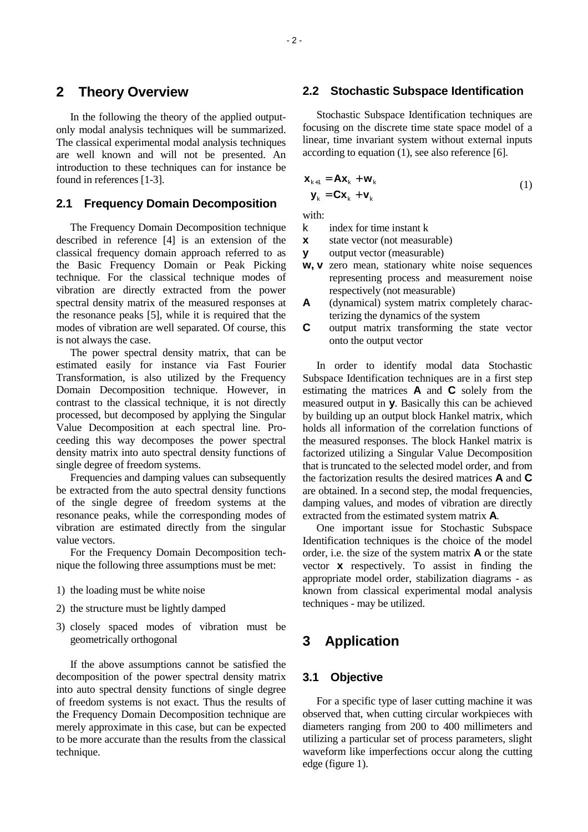### **2 Theory Overview**

In the following the theory of the applied outputonly modal analysis techniques will be summarized. The classical experimental modal analysis techniques are well known and will not be presented. An introduction to these techniques can for instance be found in references [1-3].

#### **2.1 Frequency Domain Decomposition**

The Frequency Domain Decomposition technique described in reference [4] is an extension of the classical frequency domain approach referred to as the Basic Frequency Domain or Peak Picking technique. For the classical technique modes of vibration are directly extracted from the power spectral density matrix of the measured responses at the resonance peaks [5], while it is required that the modes of vibration are well separated. Of course, this is not always the case.

The power spectral density matrix, that can be estimated easily for instance via Fast Fourier Transformation, is also utilized by the Frequency Domain Decomposition technique. However, in contrast to the classical technique, it is not directly processed, but decomposed by applying the Singular Value Decomposition at each spectral line. Proceeding this way decomposes the power spectral density matrix into auto spectral density functions of single degree of freedom systems.

Frequencies and damping values can subsequently be extracted from the auto spectral density functions of the single degree of freedom systems at the resonance peaks, while the corresponding modes of vibration are estimated directly from the singular value vectors.

For the Frequency Domain Decomposition technique the following three assumptions must be met:

- 1) the loading must be white noise
- 2) the structure must be lightly damped
- 3) closely spaced modes of vibration must be geometrically orthogonal

If the above assumptions cannot be satisfied the decomposition of the power spectral density matrix into auto spectral density functions of single degree of freedom systems is not exact. Thus the results of the Frequency Domain Decomposition technique are merely approximate in this case, but can be expected to be more accurate than the results from the classical technique.

#### **2.2 Stochastic Subspace Identification**

Stochastic Subspace Identification techniques are focusing on the discrete time state space model of a linear, time invariant system without external inputs according to equation (1), see also reference [6].

$$
\mathbf{x}_{k+1} = \mathbf{A}\mathbf{x}_k + \mathbf{w}_k
$$
  

$$
\mathbf{y}_k = \mathbf{C}\mathbf{x}_k + \mathbf{v}_k
$$
 (1)

with:

- k index for time instant k
- **x** state vector (not measurable)
- **y** output vector (measurable)
- **w, v** zero mean, stationary white noise sequences representing process and measurement noise respectively (not measurable)
- **A** (dynamical) system matrix completely characterizing the dynamics of the system
- **C** output matrix transforming the state vector onto the output vector

In order to identify modal data Stochastic Subspace Identification techniques are in a first step estimating the matrices **A** and **C** solely from the measured output in **y**. Basically this can be achieved by building up an output block Hankel matrix, which holds all information of the correlation functions of the measured responses. The block Hankel matrix is factorized utilizing a Singular Value Decomposition that is truncated to the selected model order, and from the factorization results the desired matrices **A** and **C** are obtained. In a second step, the modal frequencies, damping values, and modes of vibration are directly extracted from the estimated system matrix **A**.

One important issue for Stochastic Subspace Identification techniques is the choice of the model order, i.e. the size of the system matrix **A** or the state vector **x** respectively. To assist in finding the appropriate model order, stabilization diagrams - as known from classical experimental modal analysis techniques - may be utilized.

# **3 Application**

#### **3.1 Objective**

For a specific type of laser cutting machine it was observed that, when cutting circular workpieces with diameters ranging from 200 to 400 millimeters and utilizing a particular set of process parameters, slight waveform like imperfections occur along the cutting edge (figure 1).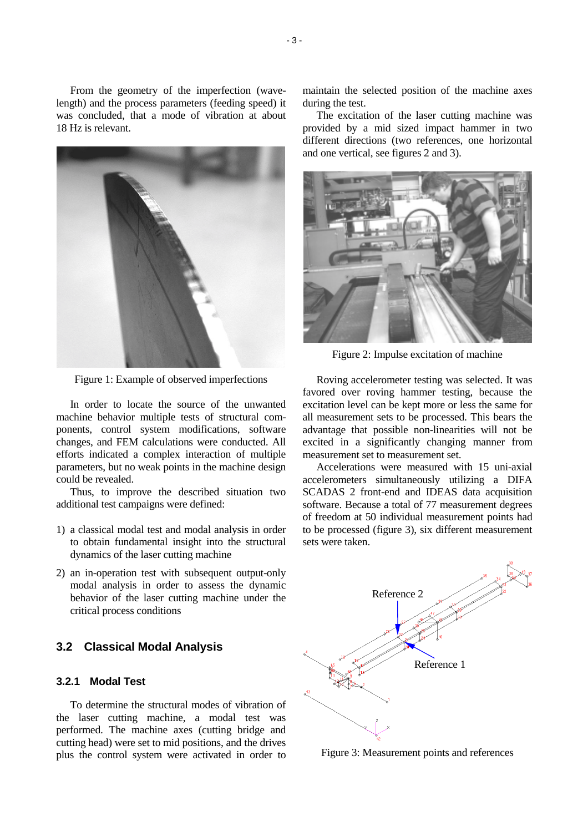From the geometry of the imperfection (wavelength) and the process parameters (feeding speed) it was concluded, that a mode of vibration at about 18 Hz is relevant.



Figure 1: Example of observed imperfections

In order to locate the source of the unwanted machine behavior multiple tests of structural components, control system modifications, software changes, and FEM calculations were conducted. All efforts indicated a complex interaction of multiple parameters, but no weak points in the machine design could be revealed.

Thus, to improve the described situation two additional test campaigns were defined:

- 1) a classical modal test and modal analysis in order to obtain fundamental insight into the structural dynamics of the laser cutting machine
- 2) an in-operation test with subsequent output-only modal analysis in order to assess the dynamic behavior of the laser cutting machine under the critical process conditions

#### **3.2 Classical Modal Analysis**

### **3.2.1 Modal Test**

To determine the structural modes of vibration of the laser cutting machine, a modal test was performed. The machine axes (cutting bridge and cutting head) were set to mid positions, and the drives plus the control system were activated in order to maintain the selected position of the machine axes during the test.

The excitation of the laser cutting machine was provided by a mid sized impact hammer in two different directions (two references, one horizontal and one vertical, see figures 2 and 3).



Figure 2: Impulse excitation of machine

Roving accelerometer testing was selected. It was favored over roving hammer testing, because the excitation level can be kept more or less the same for all measurement sets to be processed. This bears the advantage that possible non-linearities will not be excited in a significantly changing manner from measurement set to measurement set.

Accelerations were measured with 15 uni-axial accelerometers simultaneously utilizing a DIFA SCADAS 2 front-end and IDEAS data acquisition software. Because a total of 77 measurement degrees of freedom at 50 individual measurement points had to be processed (figure 3), six different measurement sets were taken.



Figure 3: Measurement points and references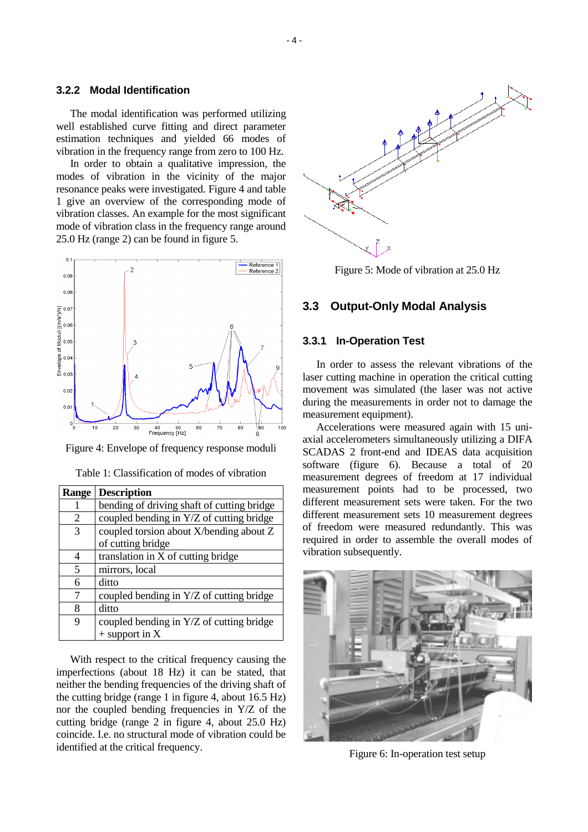#### **3.2.2 Modal Identification**

The modal identification was performed utilizing well established curve fitting and direct parameter estimation techniques and yielded 66 modes of vibration in the frequency range from zero to 100 Hz.

In order to obtain a qualitative impression, the modes of vibration in the vicinity of the major resonance peaks were investigated. Figure 4 and table 1 give an overview of the corresponding mode of vibration classes. An example for the most significant mode of vibration class in the frequency range around 25.0 Hz (range 2) can be found in figure 5.



Figure 4: Envelope of frequency response moduli

| <b>Range</b> | <b>Description</b>                         |  |
|--------------|--------------------------------------------|--|
| 1            | bending of driving shaft of cutting bridge |  |
| 2            | coupled bending in Y/Z of cutting bridge   |  |
| 3            | coupled torsion about X/bending about Z    |  |
|              | of cutting bridge                          |  |
| 4            | translation in X of cutting bridge         |  |
| 5            | mirrors, local                             |  |
| 6            | ditto                                      |  |
| 7            | coupled bending in Y/Z of cutting bridge   |  |
| 8            | ditto                                      |  |
| 9            | coupled bending in Y/Z of cutting bridge   |  |
|              | $+$ support in X                           |  |

Table 1: Classification of modes of vibration

With respect to the critical frequency causing the imperfections (about 18 Hz) it can be stated, that neither the bending frequencies of the driving shaft of the cutting bridge (range 1 in figure 4, about 16.5 Hz) nor the coupled bending frequencies in Y/Z of the cutting bridge (range 2 in figure 4, about 25.0 Hz) coincide. I.e. no structural mode of vibration could be identified at the critical frequency.



Figure 5: Mode of vibration at 25.0 Hz

#### **3.3 Output-Only Modal Analysis**

#### **3.3.1 In-Operation Test**

In order to assess the relevant vibrations of the laser cutting machine in operation the critical cutting movement was simulated (the laser was not active during the measurements in order not to damage the measurement equipment).

Accelerations were measured again with 15 uniaxial accelerometers simultaneously utilizing a DIFA SCADAS 2 front-end and IDEAS data acquisition software (figure 6). Because a total of 20 measurement degrees of freedom at 17 individual measurement points had to be processed, two different measurement sets were taken. For the two different measurement sets 10 measurement degrees of freedom were measured redundantly. This was required in order to assemble the overall modes of vibration subsequently.



Figure 6: In-operation test setup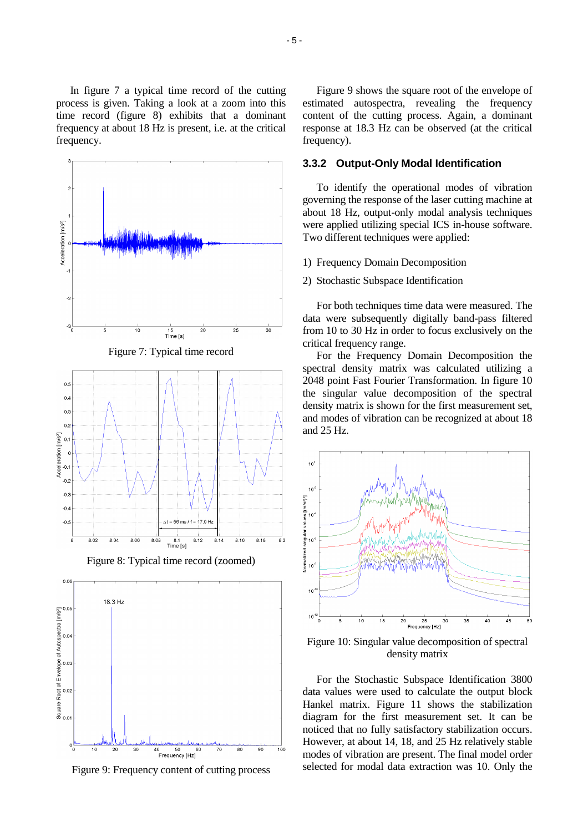In figure 7 a typical time record of the cutting process is given. Taking a look at a zoom into this time record (figure 8) exhibits that a dominant frequency at about 18 Hz is present, i.e. at the critical frequency.



Figure 9: Frequency content of cutting process

Figure 9 shows the square root of the envelope of estimated autospectra, revealing the frequency content of the cutting process. Again, a dominant response at 18.3 Hz can be observed (at the critical frequency).

#### **3.3.2 Output-Only Modal Identification**

To identify the operational modes of vibration governing the response of the laser cutting machine at about 18 Hz, output-only modal analysis techniques were applied utilizing special ICS in-house software. Two different techniques were applied:

- 1) Frequency Domain Decomposition
- 2) Stochastic Subspace Identification

For both techniques time data were measured. The data were subsequently digitally band-pass filtered from 10 to 30 Hz in order to focus exclusively on the critical frequency range.

For the Frequency Domain Decomposition the spectral density matrix was calculated utilizing a 2048 point Fast Fourier Transformation. In figure 10 the singular value decomposition of the spectral density matrix is shown for the first measurement set, and modes of vibration can be recognized at about 18 and 25 Hz.



Figure 10: Singular value decomposition of spectral density matrix

For the Stochastic Subspace Identification 3800 data values were used to calculate the output block Hankel matrix. Figure 11 shows the stabilization diagram for the first measurement set. It can be noticed that no fully satisfactory stabilization occurs. However, at about 14, 18, and 25 Hz relatively stable modes of vibration are present. The final model order selected for modal data extraction was 10. Only the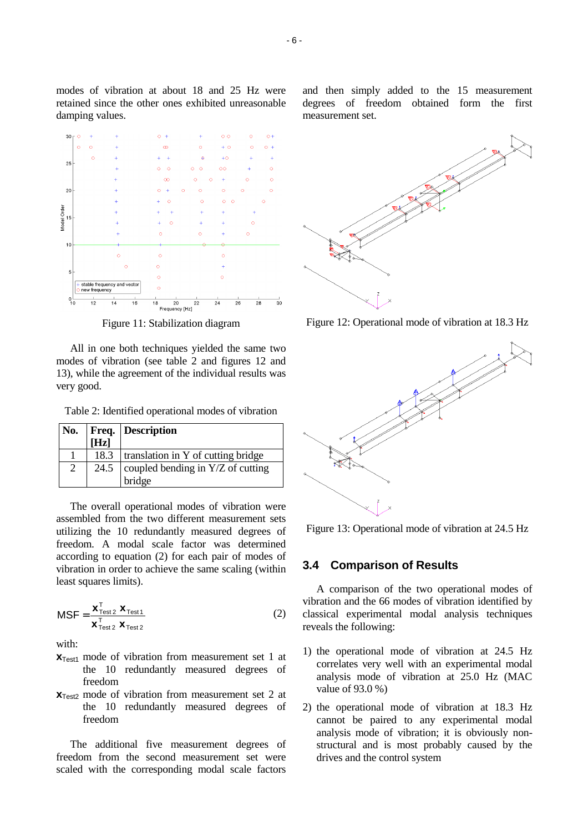

modes of vibration at about 18 and 25 Hz were retained since the other ones exhibited unreasonable

damping values.

Figure 11: Stabilization diagram

All in one both techniques yielded the same two modes of vibration (see table 2 and figures 12 and 13), while the agreement of the individual results was very good.

Table 2: Identified operational modes of vibration

| No. |      | <b>Freq.</b> Description                   |
|-----|------|--------------------------------------------|
|     | [Hz] |                                            |
|     | 18.3 | translation in Y of cutting bridge         |
| 2   |      | 24.5   coupled bending in $Y/Z$ of cutting |
|     |      | bridge                                     |

The overall operational modes of vibration were assembled from the two different measurement sets utilizing the 10 redundantly measured degrees of freedom. A modal scale factor was determined according to equation (2) for each pair of modes of vibration in order to achieve the same scaling (within least squares limits).

$$
MSF = \frac{\mathbf{x}_{Test2}^{\mathrm{T}} \ \mathbf{x}_{Test1}}{\mathbf{x}_{Test2}^{\mathrm{T}} \ \mathbf{x}_{Test2}}
$$
(2)

with:

- $X<sub>Test1</sub>$  mode of vibration from measurement set 1 at the 10 redundantly measured degrees of freedom
- **x**<sub>Test2</sub> mode of vibration from measurement set 2 at the 10 redundantly measured degrees of freedom

The additional five measurement degrees of freedom from the second measurement set were scaled with the corresponding modal scale factors

and then simply added to the 15 measurement degrees of freedom obtained form the first measurement set.



Figure 12: Operational mode of vibration at 18.3 Hz



Figure 13: Operational mode of vibration at 24.5 Hz

#### **3.4 Comparison of Results**

A comparison of the two operational modes of vibration and the 66 modes of vibration identified by classical experimental modal analysis techniques reveals the following:

- 1) the operational mode of vibration at 24.5 Hz correlates very well with an experimental modal analysis mode of vibration at 25.0 Hz (MAC value of 93.0 %)
- 2) the operational mode of vibration at 18.3 Hz cannot be paired to any experimental modal analysis mode of vibration; it is obviously nonstructural and is most probably caused by the drives and the control system